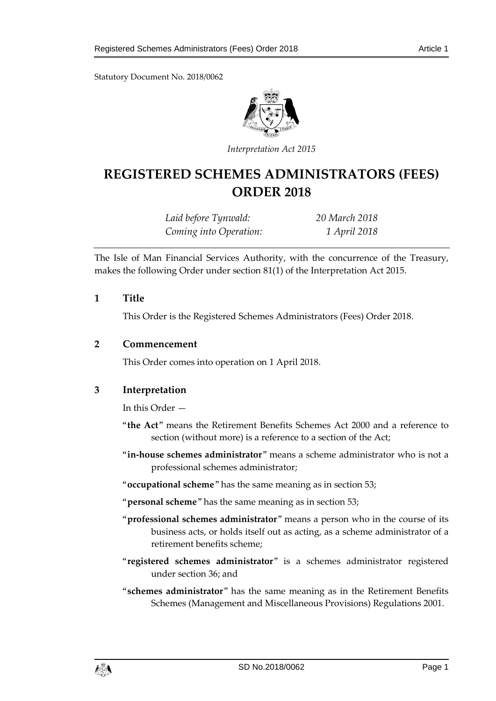Statutory Document No. 2018/0062



*Interpretation Act 2015*

# **REGISTERED SCHEMES ADMINISTRATORS (FEES) ORDER 2018**

*Laid before Tynwald: 20 March 2018 Coming into Operation: 1 April 2018*

The Isle of Man Financial Services Authority, with the concurrence of the Treasury, makes the following Order under section 81(1) of the Interpretation Act 2015.

#### **1 Title**

This Order is the Registered Schemes Administrators (Fees) Order 2018.

### **2 Commencement**

This Order comes into operation on 1 April 2018.

### **3 Interpretation**

In this Order —

- "**the Act**" means the Retirement Benefits Schemes Act 2000 and a reference to section (without more) is a reference to a section of the Act;
- "**in-house schemes administrator**" means a scheme administrator who is not a professional schemes administrator;
- "**occupational scheme**" has the same meaning as in section 53;

"**personal scheme**" has the same meaning as in section 53;

- "**professional schemes administrator**" means a person who in the course of its business acts, or holds itself out as acting, as a scheme administrator of a retirement benefits scheme;
- "**registered schemes administrator**" is a schemes administrator registered under section 36; and
- "**schemes administrator**" has the same meaning as in the Retirement Benefits Schemes (Management and Miscellaneous Provisions) Regulations 2001.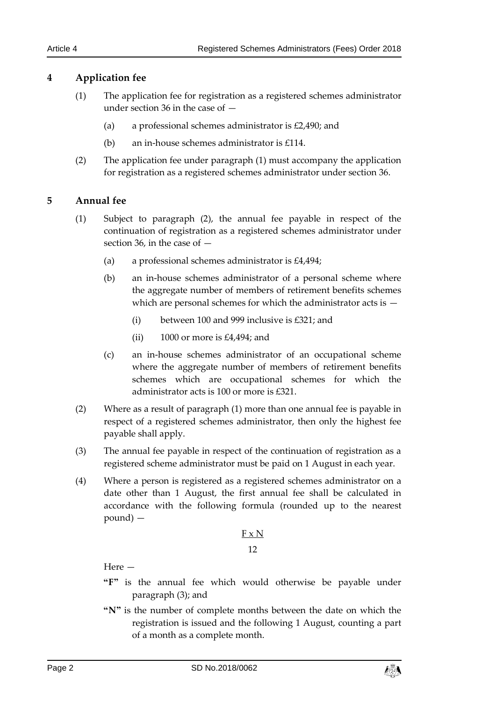### **4 Application fee**

- (1) The application fee for registration as a registered schemes administrator under section 36 in the case of —
	- (a) a professional schemes administrator is £2,490; and
	- (b) an in-house schemes administrator is £114.
- (2) The application fee under paragraph (1) must accompany the application for registration as a registered schemes administrator under section 36.

### **5 Annual fee**

- (1) Subject to paragraph (2), the annual fee payable in respect of the continuation of registration as a registered schemes administrator under section 36, in the case of —
	- (a) a professional schemes administrator is £4,494;
	- (b) an in-house schemes administrator of a personal scheme where the aggregate number of members of retirement benefits schemes which are personal schemes for which the administrator acts is —
		- (i) between 100 and 999 inclusive is £321; and
		- (ii) 1000 or more is £4,494; and
	- (c) an in-house schemes administrator of an occupational scheme where the aggregate number of members of retirement benefits schemes which are occupational schemes for which the administrator acts is 100 or more is £321.
- (2) Where as a result of paragraph (1) more than one annual fee is payable in respect of a registered schemes administrator, then only the highest fee payable shall apply.
- (3) The annual fee payable in respect of the continuation of registration as a registered scheme administrator must be paid on 1 August in each year.
- (4) Where a person is registered as a registered schemes administrator on a date other than 1 August, the first annual fee shall be calculated in accordance with the following formula (rounded up to the nearest pound) —

# F x N 12

Here —

- **"F"** is the annual fee which would otherwise be payable under paragraph (3); and
- **"N"** is the number of complete months between the date on which the registration is issued and the following 1 August, counting a part of a month as a complete month.

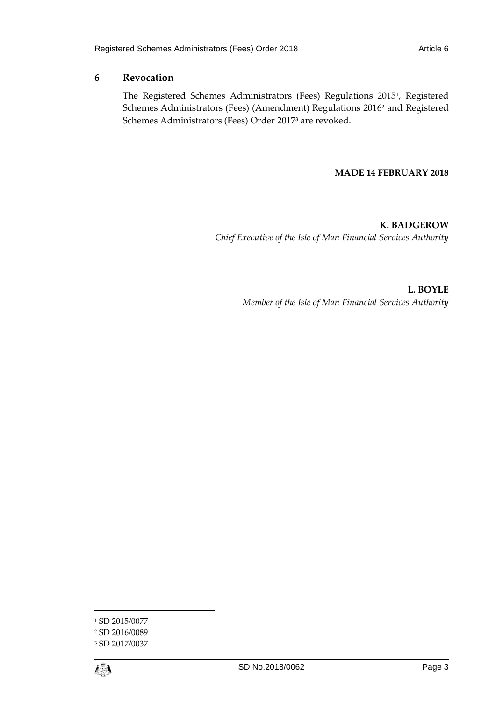# **6 Revocation**

The Registered Schemes Administrators (Fees) Regulations 2015<sup>1</sup> , Registered Schemes Administrators (Fees) (Amendment) Regulations 2016 <sup>2</sup> and Registered Schemes Administrators (Fees) Order 2017<sup>3</sup> are revoked.

### **MADE 14 FEBRUARY 2018**

**K. BADGEROW** *Chief Executive of the Isle of Man Financial Services Authority*

> **L. BOYLE** *Member of the Isle of Man Financial Services Authority*

1



<sup>&</sup>lt;sup>1</sup> SD 2015/0077

<sup>2</sup> SD 2016/0089

<sup>3</sup> SD 2017/0037